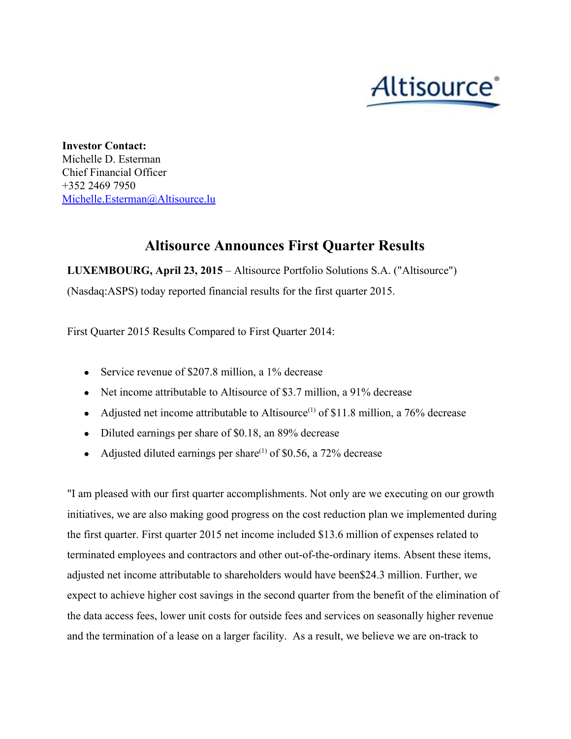

**Investor Contact:** Michelle D. Esterman Chief Financial Officer +352 2469 7950 [Michelle.Esterman@Altisource.lu](mailto:Michelle.Esterman@Altisource.lu)

# **Altisource Announces First Quarter Results**

**LUXEMBOURG, April 23, 2015**– Altisource Portfolio Solutions S.A. ("Altisource") (Nasdaq:ASPS) today reported financial results for the first quarter 2015.

First Quarter 2015 Results Compared to First Quarter 2014:

- Service revenue of \$207.8 million, a 1% decrease
- Net income attributable to Altisource of \$3.7 million, a 91% decrease
- Adjusted net income attributable to Altisource<sup>(1)</sup> of \$11.8 million, a 76% decrease
- Diluted earnings per share of \$0.18, an 89% decrease
- Adjusted diluted earnings per share<sup>(1)</sup> of \$0.56, a 72% decrease

"I am pleased with our first quarter accomplishments. Not only are we executing on our growth initiatives, we are also making good progress on the cost reduction plan we implemented during the first quarter. First quarter 2015 net income included \$13.6 million of expenses related to terminated employees and contractors and other out-of-the-ordinary items. Absent these items, adjusted net income attributable to shareholders would have been\$24.3 million. Further, we expect to achieve higher cost savings in the second quarter from the benefit of the elimination of the data access fees, lower unit costs for outside fees and services on seasonally higher revenue and the termination of a lease on a larger facility. As a result, we believe we are on-track to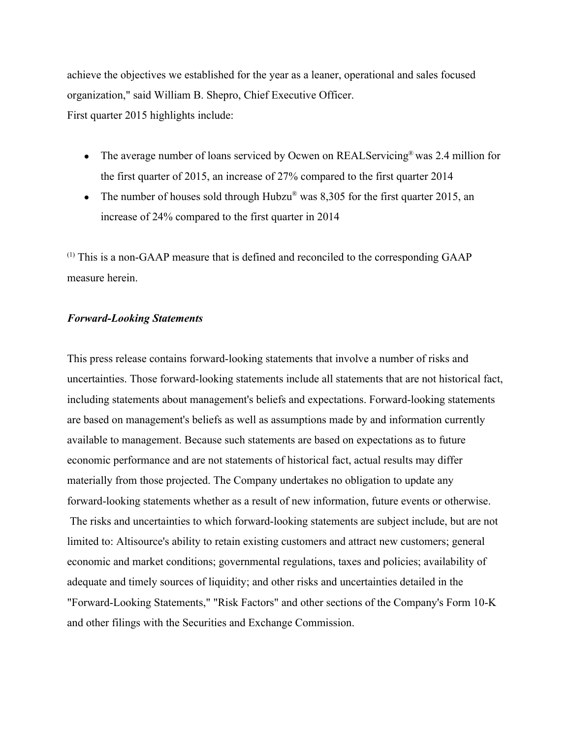achieve the objectives we established for the year as a leaner, operational and sales focused organization," said William B. Shepro, Chief Executive Officer. First quarter 2015 highlights include:

- The average number of loans serviced by Ocwen on REALServicing® was 2.4 million for the first quarter of 2015, an increase of 27% compared to the first quarter 2014
- The number of houses sold through Hubzu<sup>®</sup> was 8,305 for the first quarter 2015, an increase of 24% compared to the first quarter in 2014

 $<sup>(1)</sup>$  This is a non-GAAP measure that is defined and reconciled to the corresponding GAAP</sup> measure herein.

## *ForwardLooking Statements*

This press release contains forward-looking statements that involve a number of risks and uncertainties. Those forward-looking statements include all statements that are not historical fact, including statements about management's beliefs and expectations. Forward-looking statements are based on management's beliefs as well as assumptions made by and information currently available to management. Because such statements are based on expectations as to future economic performance and are not statements of historical fact, actual results may differ materially from those projected. The Company undertakes no obligation to update any forward-looking statements whether as a result of new information, future events or otherwise. The risks and uncertainties to which forward-looking statements are subject include, but are not limited to: Altisource's ability to retain existing customers and attract new customers; general economic and market conditions; governmental regulations, taxes and policies; availability of adequate and timely sources of liquidity; and other risks and uncertainties detailed in the "Forward-Looking Statements," "Risk Factors" and other sections of the Company's Form 10-K and other filings with the Securities and Exchange Commission.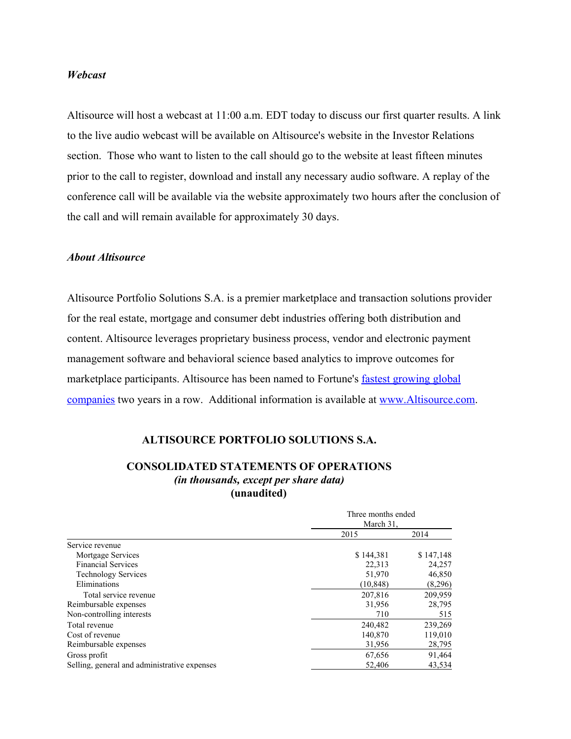### *Webcast*

Altisource will host a webcast at 11:00 a.m. EDT today to discuss our first quarter results. A link to the live audio webcast will be available on Altisource's website in the Investor Relations section. Those who want to listen to the call should go to the website at least fifteen minutes prior to the call to register, download and install any necessary audio software. A replay of the conference call will be available via the website approximately two hours after the conclusion of the call and will remain available for approximately 30 days.

### *About Altisource*

Altisource Portfolio Solutions S.A. is a premier marketplace and transaction solutions provider for the real estate, mortgage and consumer debt industries offering both distribution and content. Altisource leverages proprietary business process, vendor and electronic payment management software and behavioral science based analytics to improve outcomes for marketplace participants. Altisource has been named to Fortune's fastest [growing](http://www.globenewswire.com/newsroom/ctr?d=10130321&l=11&a=fastest%20growing%20global%20companies&u=http%3A%2F%2Ffortune.com%2F100-fastest-growing-companies%2Faltisource-portfolio-solutions-26%2F) global [companies](http://www.globenewswire.com/newsroom/ctr?d=10130321&l=11&a=fastest%20growing%20global%20companies&u=http%3A%2F%2Ffortune.com%2F100-fastest-growing-companies%2Faltisource-portfolio-solutions-26%2F) two years in a row. Additional information is available at [www.Altisource.com.](http://www.globenewswire.com/newsroom/ctr?d=10130321&l=11&a=www.Altisource.com&u=http%3A%2F%2Fwww.altisource.com%2F)

#### **ALTISOURCE PORTFOLIO SOLUTIONS S.A.**

## **CONSOLIDATED STATEMENTS OF OPERATIONS** *(in thousands, except per share data)* **(unaudited)**

|                                              | Three months ended<br>March 31. |           |
|----------------------------------------------|---------------------------------|-----------|
|                                              |                                 |           |
|                                              | 2015                            | 2014      |
| Service revenue                              |                                 |           |
| Mortgage Services                            | \$144,381                       | \$147,148 |
| <b>Financial Services</b>                    | 22,313                          | 24,257    |
| <b>Technology Services</b>                   | 51,970                          | 46,850    |
| Eliminations                                 | (10, 848)                       | (8,296)   |
| Total service revenue                        | 207,816                         | 209,959   |
| Reimbursable expenses                        | 31,956                          | 28,795    |
| Non-controlling interests                    | 710                             | 515       |
| Total revenue                                | 240,482                         | 239,269   |
| Cost of revenue                              | 140,870                         | 119,010   |
| Reimbursable expenses                        | 31,956                          | 28,795    |
| Gross profit                                 | 67,656                          | 91,464    |
| Selling, general and administrative expenses | 52,406                          | 43,534    |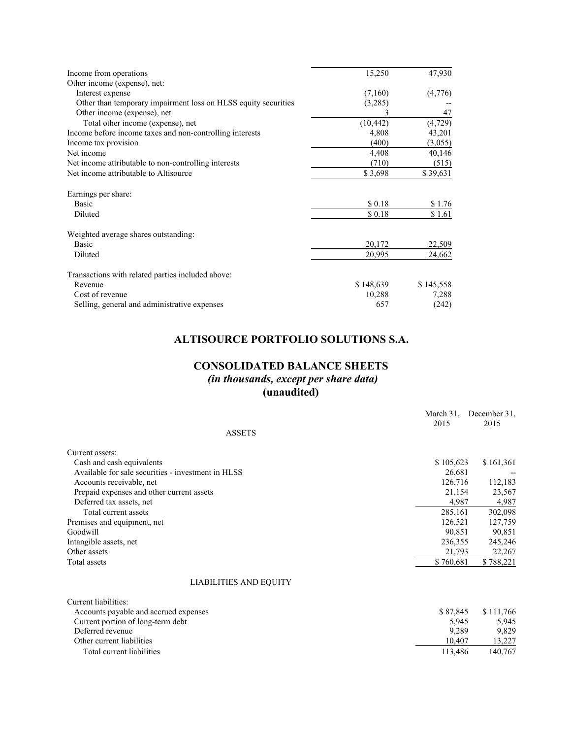| Income from operations                                         | 15,250    | 47,930    |
|----------------------------------------------------------------|-----------|-----------|
| Other income (expense), net:                                   |           |           |
| Interest expense                                               | (7,160)   | (4,776)   |
| Other than temporary impairment loss on HLSS equity securities | (3,285)   |           |
| Other income (expense), net                                    |           | 47        |
| Total other income (expense), net                              | (10, 442) | (4, 729)  |
| Income before income taxes and non-controlling interests       | 4,808     | 43,201    |
| Income tax provision                                           | (400)     | (3,055)   |
| Net income                                                     | 4,408     | 40,146    |
| Net income attributable to non-controlling interests           | (710)     | (515)     |
| Net income attributable to Altisource                          | \$3,698   | \$39,631  |
| Earnings per share:                                            |           |           |
| Basic                                                          | \$0.18    | \$1.76    |
| Diluted                                                        | \$0.18    | \$1.61    |
| Weighted average shares outstanding:                           |           |           |
| <b>Basic</b>                                                   | 20,172    | 22,509    |
| Diluted                                                        | 20,995    | 24,662    |
| Transactions with related parties included above:              |           |           |
| Revenue                                                        | \$148,639 | \$145,558 |
| Cost of revenue                                                | 10,288    | 7,288     |
| Selling, general and administrative expenses                   | 657       | (242)     |

## **ALTISOURCE PORTFOLIO SOLUTIONS S.A.**

## **CONSOLIDATED BALANCE SHEETS**

*(in thousands, except per share data)* **(unaudited)**

|                                                    | March 31, | December 31. |
|----------------------------------------------------|-----------|--------------|
|                                                    | 2015      | 2015         |
| <b>ASSETS</b>                                      |           |              |
| Current assets:                                    |           |              |
| Cash and cash equivalents                          | \$105,623 | \$161,361    |
| Available for sale securities - investment in HLSS | 26,681    |              |
| Accounts receivable, net                           | 126,716   | 112,183      |
| Prepaid expenses and other current assets          | 21,154    | 23,567       |
| Deferred tax assets, net                           | 4,987     | 4,987        |
| Total current assets                               | 285,161   | 302,098      |
| Premises and equipment, net                        | 126,521   | 127,759      |
| Goodwill                                           | 90,851    | 90,851       |
| Intangible assets, net                             | 236,355   | 245,246      |
| Other assets                                       | 21,793    | 22,267       |
| Total assets                                       | \$760,681 | \$788,221    |
| LIABILITIES AND EQUITY                             |           |              |
| Current liabilities:                               |           |              |
| Accounts payable and accrued expenses              | \$87,845  | \$111,766    |
| Current portion of long-term debt                  | 5,945     | 5,945        |
| Deferred revenue                                   | 9,289     | 9,829        |
| Other current liabilities                          | 10,407    | 13,227       |
| Total current liabilities                          | 113,486   | 140,767      |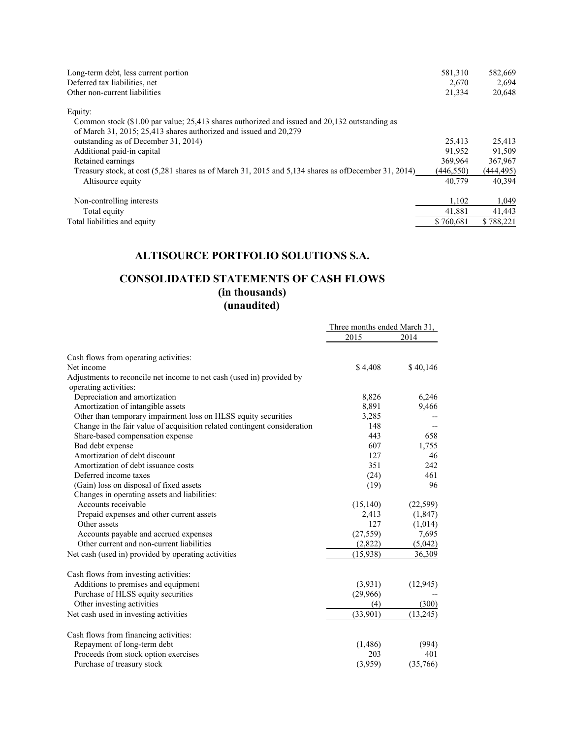| Long-term debt, less current portion<br>Deferred tax liabilities, net<br>Other non-current liabilities  | 581,310<br>2,670<br>21,334 | 582,669<br>2,694<br>20,648 |
|---------------------------------------------------------------------------------------------------------|----------------------------|----------------------------|
| Equity:                                                                                                 |                            |                            |
| Common stock (\$1.00 par value; 25,413 shares authorized and issued and 20,132 outstanding as           |                            |                            |
| of March 31, 2015; 25,413 shares authorized and issued and 20,279                                       |                            |                            |
| outstanding as of December 31, 2014)                                                                    | 25,413                     | 25,413                     |
| Additional paid-in capital                                                                              | 91.952                     | 91.509                     |
| Retained earnings                                                                                       | 369.964                    | 367,967                    |
| Treasury stock, at cost $(5,281)$ shares as of March 31, 2015 and 5,134 shares as of December 31, 2014) | (446, 550)                 | (444, 495)                 |
| Altisource equity                                                                                       | 40.779                     | 40.394                     |
| Non-controlling interests                                                                               | 1,102                      | 1,049                      |
| Total equity                                                                                            | 41.881                     | 41.443                     |
| Total liabilities and equity                                                                            | \$760.681                  | \$788,221                  |

## **ALTISOURCE PORTFOLIO SOLUTIONS S.A.**

## **CONSOLIDATED STATEMENTS OF CASH FLOWS (in thousands) (unaudited)**

|                                                                                                                                            | Three months ended March 31, |           |
|--------------------------------------------------------------------------------------------------------------------------------------------|------------------------------|-----------|
|                                                                                                                                            | 2015                         | 2014      |
| Cash flows from operating activities:                                                                                                      |                              |           |
| Net income                                                                                                                                 | \$4,408                      | \$40,146  |
| Adjustments to reconcile net income to net cash (used in) provided by                                                                      |                              |           |
| operating activities:                                                                                                                      |                              |           |
| Depreciation and amortization                                                                                                              | 8,826                        | 6,246     |
| Amortization of intangible assets                                                                                                          | 8,891                        | 9,466     |
| Other than temporary impairment loss on HLSS equity securities<br>Change in the fair value of acquisition related contingent consideration | 3,285<br>148                 |           |
| Share-based compensation expense                                                                                                           | 443                          | 658       |
| Bad debt expense                                                                                                                           | 607                          | 1,755     |
| Amortization of debt discount                                                                                                              | 127                          | 46        |
| Amortization of debt issuance costs                                                                                                        | 351                          | 242       |
| Deferred income taxes                                                                                                                      | (24)                         | 461       |
| (Gain) loss on disposal of fixed assets                                                                                                    | (19)                         | 96        |
| Changes in operating assets and liabilities:                                                                                               |                              |           |
| Accounts receivable                                                                                                                        | (15, 140)                    | (22, 599) |
| Prepaid expenses and other current assets                                                                                                  | 2,413                        | (1, 847)  |
| Other assets                                                                                                                               | 127                          | (1,014)   |
| Accounts payable and accrued expenses                                                                                                      | (27, 559)                    | 7,695     |
| Other current and non-current liabilities                                                                                                  | (2,822)                      | (5,042)   |
| Net cash (used in) provided by operating activities                                                                                        | (15,938)                     | 36,309    |
| Cash flows from investing activities:                                                                                                      |                              |           |
| Additions to premises and equipment                                                                                                        | (3,931)                      | (12, 945) |
| Purchase of HLSS equity securities                                                                                                         | (29,966)                     |           |
| Other investing activities                                                                                                                 | (4)                          | (300)     |
| Net cash used in investing activities                                                                                                      | (33,901)                     | (13, 245) |
|                                                                                                                                            |                              |           |
| Cash flows from financing activities:                                                                                                      |                              |           |
| Repayment of long-term debt                                                                                                                | (1,486)                      | (994)     |
| Proceeds from stock option exercises                                                                                                       | 203                          | 401       |
| Purchase of treasury stock                                                                                                                 | (3,959)                      | (35,766)  |